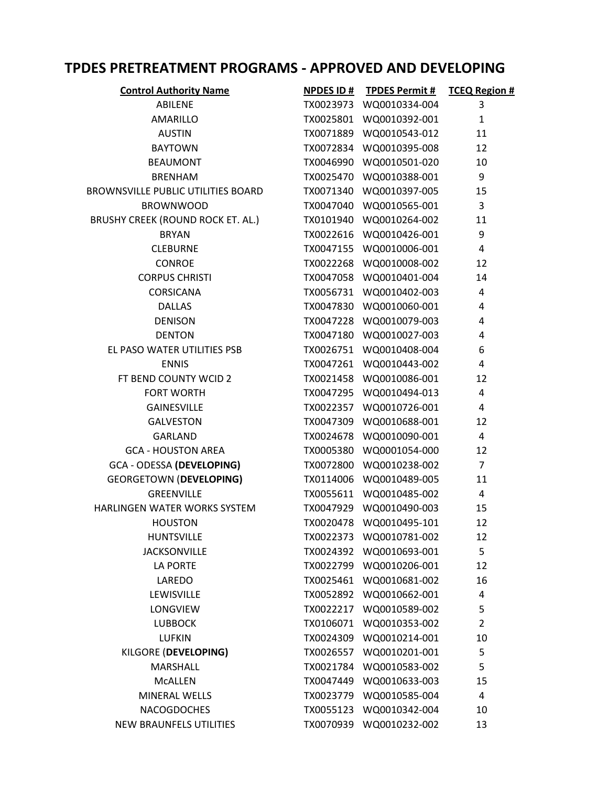## TPDES PRETREATMENT PROGRAMS - APPROVED AND DEVELOPING

| <b>Control Authority Name</b>             |           | NPDES ID # TPDES Permit # | <b>TCEQ Region #</b> |
|-------------------------------------------|-----------|---------------------------|----------------------|
| ABILENE                                   |           | TX0023973 WQ0010334-004   | 3                    |
| AMARILLO                                  |           | TX0025801 WQ0010392-001   | $\mathbf{1}$         |
| <b>AUSTIN</b>                             |           | TX0071889 WQ0010543-012   | 11                   |
| <b>BAYTOWN</b>                            |           | TX0072834 WQ0010395-008   | 12                   |
| <b>BEAUMONT</b>                           |           | TX0046990 WQ0010501-020   | 10                   |
| <b>BRENHAM</b>                            |           | TX0025470 WQ0010388-001   | 9                    |
| <b>BROWNSVILLE PUBLIC UTILITIES BOARD</b> |           | TX0071340 WQ0010397-005   | 15                   |
| <b>BROWNWOOD</b>                          |           | TX0047040 WQ0010565-001   | 3                    |
| BRUSHY CREEK (ROUND ROCK ET. AL.)         |           | TX0101940 WQ0010264-002   | 11                   |
| <b>BRYAN</b>                              |           | TX0022616 WQ0010426-001   | 9                    |
| <b>CLEBURNE</b>                           |           | TX0047155 WQ0010006-001   | 4                    |
| <b>CONROE</b>                             |           | TX0022268 WQ0010008-002   | 12                   |
| <b>CORPUS CHRISTI</b>                     |           | TX0047058 WQ0010401-004   | 14                   |
| <b>CORSICANA</b>                          |           | TX0056731 WQ0010402-003   | 4                    |
| <b>DALLAS</b>                             |           | TX0047830 WQ0010060-001   | 4                    |
| <b>DENISON</b>                            |           | TX0047228 WQ0010079-003   | $\overline{4}$       |
| <b>DENTON</b>                             |           | TX0047180 WQ0010027-003   | 4                    |
| EL PASO WATER UTILITIES PSB               |           | TX0026751 WQ0010408-004   | 6                    |
| <b>ENNIS</b>                              |           | TX0047261 WQ0010443-002   | $\overline{4}$       |
| FT BEND COUNTY WCID 2                     |           | TX0021458 WQ0010086-001   | 12                   |
| <b>FORT WORTH</b>                         |           | TX0047295 WQ0010494-013   | 4                    |
| <b>GAINESVILLE</b>                        |           | TX0022357 WQ0010726-001   | 4                    |
| <b>GALVESTON</b>                          |           | TX0047309 WQ0010688-001   | 12                   |
| <b>GARLAND</b>                            |           | TX0024678 WQ0010090-001   | 4                    |
| <b>GCA - HOUSTON AREA</b>                 |           | TX0005380 WQ0001054-000   | 12                   |
| GCA - ODESSA (DEVELOPING)                 |           | TX0072800 WQ0010238-002   | $\overline{7}$       |
| <b>GEORGETOWN (DEVELOPING)</b>            |           | TX0114006 WQ0010489-005   | 11                   |
| GREENVILLE                                |           | TX0055611 WQ0010485-002   | $\overline{4}$       |
| HARLINGEN WATER WORKS SYSTEM              | TX0047929 | WQ0010490-003             | 15                   |
| <b>HOUSTON</b>                            | TX0020478 | WQ0010495-101             | 12                   |
| <b>HUNTSVILLE</b>                         |           | TX0022373 WQ0010781-002   | 12                   |
| <b>JACKSONVILLE</b>                       |           | TX0024392 WQ0010693-001   | 5                    |
| <b>LA PORTE</b>                           |           | TX0022799 WQ0010206-001   | 12                   |
| LAREDO                                    |           | TX0025461 WQ0010681-002   | 16                   |
| LEWISVILLE                                |           | TX0052892 WQ0010662-001   | 4                    |
| LONGVIEW                                  |           | TX0022217 WQ0010589-002   | 5                    |
| <b>LUBBOCK</b>                            |           | TX0106071 WQ0010353-002   | $\overline{2}$       |
| <b>LUFKIN</b>                             | TX0024309 | WQ0010214-001             | 10                   |
| KILGORE (DEVELOPING)                      |           | TX0026557 WQ0010201-001   | 5                    |
| MARSHALL                                  |           | TX0021784 WQ0010583-002   | 5                    |
| <b>MCALLEN</b>                            |           | TX0047449 WQ0010633-003   | 15                   |
| MINERAL WELLS                             |           | TX0023779 WQ0010585-004   | 4                    |
| <b>NACOGDOCHES</b>                        | TX0055123 | WQ0010342-004             | 10                   |
| <b>NEW BRAUNFELS UTILITIES</b>            | TX0070939 | WQ0010232-002             | 13                   |